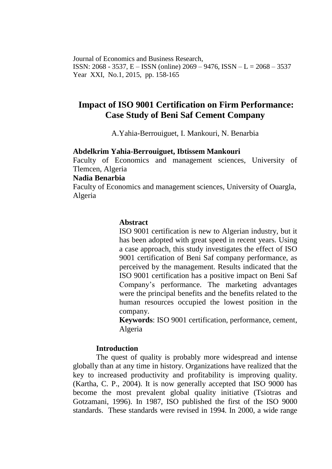Journal of Economics and Business Research, ISSN: 2068 - 3537, E – ISSN (online) 2069 – 9476, ISSN – L = 2068 – 3537 Year XXI, No.1, 2015, pp. 158-165

# **Impact of ISO 9001 Certification on Firm Performance: Case Study of Beni Saf Cement Company**

A.Yahia-Berrouiguet, I. Mankouri, N. Benarbia

#### **Abdelkrim Yahia-Berrouiguet, Ibtissem Mankouri**

Faculty of Economics and management sciences, University of Tlemcen, Algeria

#### **Nadia Benarbia**

Faculty of Economics and management sciences, University of Ouargla, Algeria

# **Abstract**

ISO 9001 certification is new to Algerian industry, but it has been adopted with great speed in recent years. Using a case approach, this study investigates the effect of ISO 9001 certification of Beni Saf company performance, as perceived by the management. Results indicated that the ISO 9001 certification has a positive impact on Beni Saf Company's performance. The marketing advantages were the principal benefits and the benefits related to the human resources occupied the lowest position in the company.

**Keywords**: ISO 9001 certification, performance, cement, Algeria

### **Introduction**

The quest of quality is probably more widespread and intense globally than at any time in history. Organizations have realized that the key to increased productivity and profitability is improving quality. (Kartha, C. P., 2004). It is now generally accepted that ISO 9000 has become the most prevalent global quality initiative (Tsiotras and Gotzamani, 1996). In 1987, ISO published the first of the ISO 9000 standards. These standards were revised in 1994. In 2000, a wide range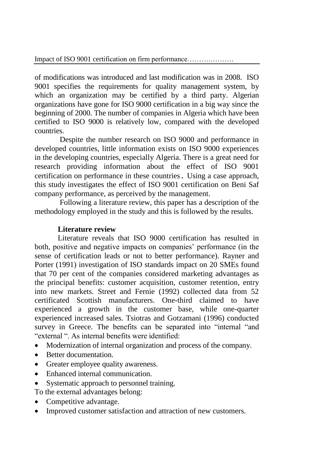of modifications was introduced and last modification was in 2008. ISO 9001 specifies the requirements for quality management system, by which an organization may be certified by a third party. Algerian organizations have gone for ISO 9000 certification in a big way since the beginning of 2000. The number of companies in Algeria which have been certified to ISO 9000 is relatively low, compared with the developed countries.

 Despite the number research on ISO 9000 and performance in developed countries, little information exists on ISO 9000 experiences in the developing countries, especially Algeria. There is a great need for research providing information about the effect of ISO 9001 certification on performance in these countries. Using a case approach, this study investigates the effect of ISO 9001 certification on Beni Saf company performance, as perceived by the management.

Following a literature review, this paper has a description of the methodology employed in the study and this is followed by the results.

### **Literature review**

Literature reveals that ISO 9000 certification has resulted in both, positive and negative impacts on companies' performance (in the sense of certification leads or not to better performance). Rayner and Porter (1991) investigation of ISO standards impact on 20 SMEs found that 70 per cent of the companies considered marketing advantages as the principal benefits: customer acquisition, customer retention, entry into new markets. Street and Fernie (1992) collected data from 52 certificated Scottish manufacturers. One-third claimed to have experienced a growth in the customer base, while one-quarter experienced increased sales. Tsiotras and Gotzamani (1996) conducted survey in Greece. The benefits can be separated into "internal "and "external ". As internal benefits were identified:

- Modernization of internal organization and process of the company.
- Better documentation.
- Greater employee quality awareness.
- Enhanced internal communication.
- Systematic approach to personnel training.

To the external advantages belong:

- Competitive advantage.
- Improved customer satisfaction and attraction of new customers.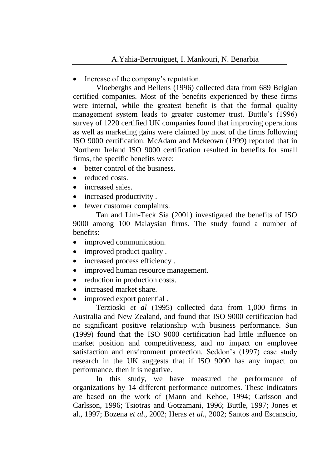Increase of the company's reputation.

Vloeberghs and Bellens (1996) collected data from 689 Belgian certified companies. Most of the benefits experienced by these firms were internal, while the greatest benefit is that the formal quality management system leads to greater customer trust. Buttle's (1996) survey of 1220 certified UK companies found that improving operations as well as marketing gains were claimed by most of the firms following ISO 9000 certification. McAdam and Mckeown (1999) reported that in Northern Ireland ISO 9000 certification resulted in benefits for small firms, the specific benefits were:

- better control of the business.
- reduced costs.
- increased sales.
- increased productivity.
- fewer customer complaints.

Tan and Lim-Teck Sia (2001) investigated the benefits of ISO 9000 among 100 Malaysian firms. The study found a number of benefits:

- improved communication.
- improved product quality .
- increased process efficiency.
- improved human resource management.
- reduction in production costs.
- increased market share.
- improved export potential .

Terzioski *et al* (1995) collected data from 1,000 firms in Australia and New Zealand, and found that ISO 9000 certification had no significant positive relationship with business performance. Sun (1999) found that the ISO 9000 certification had little influence on market position and competitiveness, and no impact on employee satisfaction and environment protection. Seddon's (1997) case study research in the UK suggests that if ISO 9000 has any impact on performance, then it is negative.

 In this study, we have measured the performance of organizations by 14 different performance outcomes. These indicators are based on the work of (Mann and Kehoe, 1994; Carlsson and Carlsson, 1996; Tsiotras and Gotzamani, 1996; Buttle, 1997; Jones et al., 1997; Bozena *et al*., 2002; Heras *et al.*, 2002; Santos and Escanscio,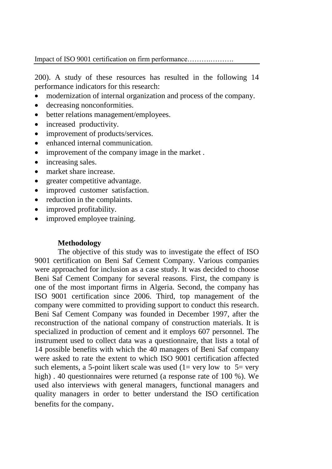Impact of ISO 9001 certification on firm performance……….……….

200). A study of these resources has resulted in the following 14 performance indicators for this research:

- modernization of internal organization and process of the company.
- decreasing nonconformities.
- better relations management/employees.
- increased productivity.
- improvement of products/services.
- enhanced internal communication.
- improvement of the company image in the market.
- increasing sales.
- market share increase.
- greater competitive advantage.
- improved customer satisfaction.
- reduction in the complaints.
- improved profitability.
- improved employee training.

### **Methodology**

The objective of this study was to investigate the effect of ISO 9001 certification on Beni Saf Cement Company. Various companies were approached for inclusion as a case study. It was decided to choose Beni Saf Cement Company for several reasons. First, the company is one of the most important firms in Algeria. Second, the company has ISO 9001 certification since 2006. Third, top management of the company were committed to providing support to conduct this research. Beni Saf Cement Company was founded in December 1997, after the reconstruction of the national company of construction materials. It is specialized in production of cement and it employs 607 personnel. The instrument used to collect data was a questionnaire, that lists a total of 14 possible benefits with which the 40 managers of Beni Saf company were asked to rate the extent to which ISO 9001 certification affected such elements, a 5-point likert scale was used  $(1=$  very low to  $5=$  very high). 40 questionnaires were returned (a response rate of 100 %). We used also interviews with general managers, functional managers and quality managers in order to better understand the ISO certification benefits for the company.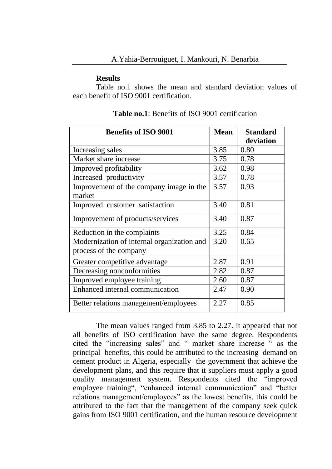#### **Results**

Table no.1 shows the mean and standard deviation values of each benefit of ISO 9001 certification.

| <b>Benefits of ISO 9001</b>                | <b>Mean</b> | <b>Standard</b><br>deviation |
|--------------------------------------------|-------------|------------------------------|
| Increasing sales                           | 3.85        | 0.80                         |
| Market share increase                      | 3.75        | 0.78                         |
| Improved profitability                     | 3.62        | 0.98                         |
| Increased productivity                     | 3.57        | 0.78                         |
| Improvement of the company image in the    | 3.57        | 0.93                         |
| market                                     |             |                              |
| Improved customer satisfaction             | 3.40        | 0.81                         |
| Improvement of products/services           | 3.40        | 0.87                         |
| Reduction in the complaints                | 3.25        | 0.84                         |
| Modernization of internal organization and | 3.20        | 0.65                         |
| process of the company                     |             |                              |
| Greater competitive advantage              | 2.87        | 0.91                         |
| Decreasing nonconformities                 | 2.82        | 0.87                         |
| Improved employee training                 | 2.60        | 0.87                         |
| Enhanced internal communication            | 2.47        | 0.90                         |
| Better relations management/employees      | 2.27        | 0.85                         |

**Table no.1**: Benefits of ISO 9001 certification

The mean values ranged from 3.85 to 2.27. It appeared that not all benefits of ISO certification have the same degree. Respondents cited the "increasing sales" and " market share increase " as the principal benefits, this could be attributed to the increasing demand on cement product in Algeria, especially the government that achieve the development plans, and this require that it suppliers must apply a good quality management system. Respondents cited the "improved employee training", "enhanced internal communication" and "better relations management/employees" as the lowest benefits, this could be attributed to the fact that the management of the company seek quick gains from ISO 9001 certification, and the human resource development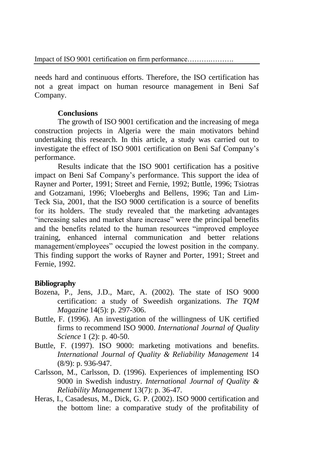needs hard and continuous efforts. Therefore, the ISO certification has not a great impact on human resource management in Beni Saf Company.

## **Conclusions**

The growth of ISO 9001 certification and the increasing of mega construction projects in Algeria were the main motivators behind undertaking this research. In this article, a study was carried out to investigate the effect of ISO 9001 certification on Beni Saf Company's performance.

 Results indicate that the ISO 9001 certification has a positive impact on Beni Saf Company's performance. This support the idea of Rayner and Porter, 1991; Street and Fernie, 1992; Buttle, 1996; Tsiotras and Gotzamani, 1996; Vloeberghs and Bellens, 1996; Tan and Lim-Teck Sia, 2001, that the ISO 9000 certification is a source of benefits for its holders. The study revealed that the marketing advantages "increasing sales and market share increase" were the principal benefits and the benefits related to the human resources "improved employee training, enhanced internal communication and better relations management/employees" occupied the lowest position in the company. This finding support the works of Rayner and Porter, 1991; Street and Fernie, 1992.

### **Bibliography**

- Bozena, P., Jens, J.D., Marc, A. (2002). The state of ISO 9000 certification: a study of Sweedish organizations. *The TQM Magazine* 14(5): p. 297-306.
- Buttle, F. (1996). An investigation of the willingness of UK certified firms to recommend ISO 9000. *International Journal of Quality Science* 1 (2): p. 40-50.
- Buttle, F. (1997). ISO 9000: marketing motivations and benefits. *International Journal of Quality & Reliability Management* 14 (8/9): p. 936-947.
- Carlsson, M., Carlsson, D. (1996). Experiences of implementing ISO 9000 in Swedish industry. *International Journal of Quality & Reliability Management* 13(7): p. 36-47.
- Heras, I., Casadesus, M., Dick, G. P. (2002). ISO 9000 certification and the bottom line: a comparative study of the profitability of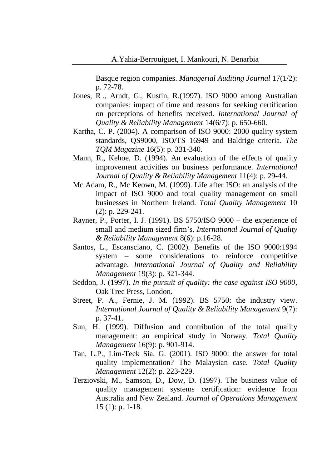Basque region companies. *Managerial Auditing Journal* 17(1/2): p. 72-78.

- Jones, R ., Arndt, G., Kustin, R.(1997). ISO 9000 among Australian companies: impact of time and reasons for seeking certification on perceptions of benefits received. *International Journal of Quality & Reliability Management* 14(6/7): p. 650-660.
- Kartha, C. P. (2004). A comparison of ISO 9000: 2000 quality system standards, QS9000, ISO/TS 16949 and Baldrige criteria. *The TQM Magazine* 16(5): p. 331-340.
- Mann, R., Kehoe, D. (1994). An evaluation of the effects of quality improvement activities on business performance. *International Journal of Quality & Reliability Management* 11(4): p. 29-44.
- Mc Adam, R., Mc Keown, M. (1999). Life after ISO: an analysis of the impact of ISO 9000 and total quality management on small businesses in Northern Ireland. *Total Quality Management* 10 (2): p. 229-241.
- Rayner, P., Porter, I. J. (1991). BS 5750/ISO 9000 the experience of small and medium sized firm's. *International Journal of Quality & Reliability Management* 8(6): p.16-28.
- Santos, L., Escansciano, C. (2002). Benefits of the ISO 9000:1994 system – some considerations to reinforce competitive advantage. *International Journal of Quality and Reliability Management* 19(3): p. 321-344.
- Seddon, J. (1997). *In the pursuit of quality: the case against ISO 9000*, Oak Tree Press, London.
- Street, P. A., Fernie, J. M. (1992). BS 5750: the industry view. *International Journal of Quality & Reliability Management* 9(7): p. 37-41.
- Sun, H. (1999). Diffusion and contribution of the total quality management: an empirical study in Norway. *Total Quality Management* 16(9): p. 901-914.
- Tan, L.P., Lim-Teck Sia, G. (2001). ISO 9000: the answer for total quality implementation? The Malaysian case. *Total Quality Management* 12(2): p. 223-229.
- Terziovski, M., Samson, D., Dow, D. (1997). The business value of quality management systems certification: evidence from Australia and New Zealand. *Journal of Operations Management* 15 (1): p. 1-18.